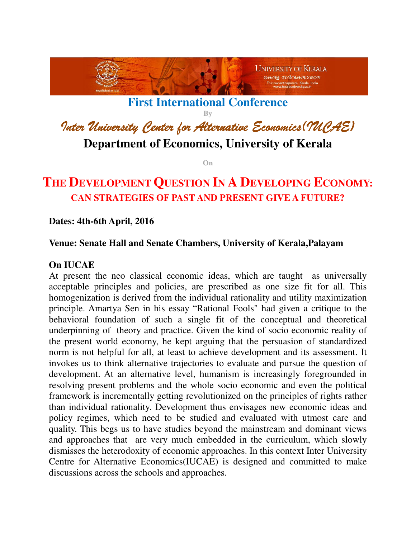

**First International Conference** 

**By** 

Inter University Center for Alternative Economics(IUCAE)

**Department of Economics, University of Kerala** 

**On** 

# **THE DEVELOPMENT QUESTION IN A DEVELOPING ECONOMY: CAN STRATEGIES OF PAST AND PRESENT GIVE A FUTURE?**

## **Dates: 4th-6th April, 2016**

### **Venue: Senate Hall and Senate Chambers, University of Kerala,Palayam**

## **On IUCAE**

At present the neo classical economic ideas, which are taught as universally acceptable principles and policies, are prescribed as one size fit for all. This homogenization is derived from the individual rationality and utility maximization principle. Amartya Sen in his essay "Rational Fools" had given a critique to the behavioral foundation of such a single fit of the conceptual and theoretical underpinning of theory and practice. Given the kind of socio economic reality of the present world economy, he kept arguing that the persuasion of standardized norm is not helpful for all, at least to achieve development and its assessment. It invokes us to think alternative trajectories to evaluate and pursue the question of development. At an alternative level, humanism is increasingly foregrounded in resolving present problems and the whole socio economic and even the political framework is incrementally getting revolutionized on the principles of rights rather than individual rationality. Development thus envisages new economic ideas and policy regimes, which need to be studied and evaluated with utmost care and quality. This begs us to have studies beyond the mainstream and dominant views and approaches that are very much embedded in the curriculum, which slowly dismisses the heterodoxity of economic approaches. In this context Inter University Centre for Alternative Economics(IUCAE) is designed and committed to make discussions across the schools and approaches.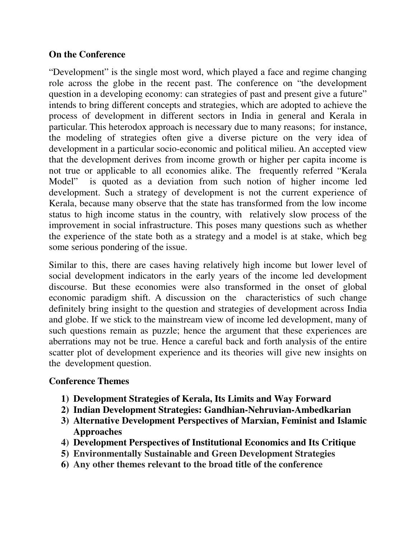## **On the Conference**

"Development" is the single most word, which played a face and regime changing role across the globe in the recent past. The conference on "the development question in a developing economy: can strategies of past and present give a future" intends to bring different concepts and strategies, which are adopted to achieve the process of development in different sectors in India in general and Kerala in particular. This heterodox approach is necessary due to many reasons; for instance, the modeling of strategies often give a diverse picture on the very idea of development in a particular socio-economic and political milieu. An accepted view that the development derives from income growth or higher per capita income is not true or applicable to all economies alike. The frequently referred "Kerala Model" is quoted as a deviation from such notion of higher income led development. Such a strategy of development is not the current experience of Kerala, because many observe that the state has transformed from the low income status to high income status in the country, with relatively slow process of the improvement in social infrastructure. This poses many questions such as whether the experience of the state both as a strategy and a model is at stake, which beg some serious pondering of the issue.

Similar to this, there are cases having relatively high income but lower level of social development indicators in the early years of the income led development discourse. But these economies were also transformed in the onset of global economic paradigm shift. A discussion on the characteristics of such change definitely bring insight to the question and strategies of development across India and globe. If we stick to the mainstream view of income led development, many of such questions remain as puzzle; hence the argument that these experiences are aberrations may not be true. Hence a careful back and forth analysis of the entire scatter plot of development experience and its theories will give new insights on the development question.

### **Conference Themes**

- **1) Development Strategies of Kerala, Its Limits and Way Forward**
- **2) Indian Development Strategies: Gandhian-Nehruvian-Ambedkarian**
- **3) Alternative Development Perspectives of Marxian, Feminist and Islamic Approaches**
- **4) Development Perspectives of Institutional Economics and Its Critique**
- **5) Environmentally Sustainable and Green Development Strategies**
- **6) Any other themes relevant to the broad title of the conference**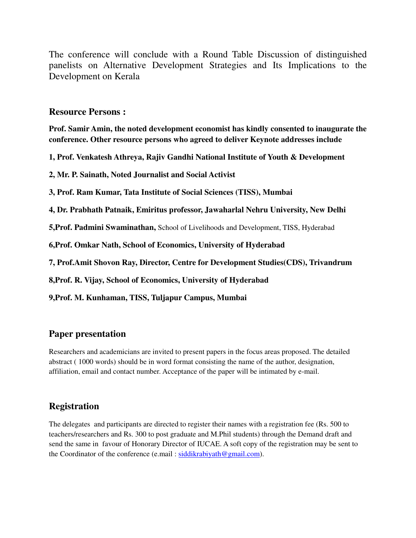The conference will conclude with a Round Table Discussion of distinguished panelists on Alternative Development Strategies and Its Implications to the Development on Kerala

#### **Resource Persons :**

**Prof. Samir Amin, the noted development economist has kindly consented to inaugurate the conference. Other resource persons who agreed to deliver Keynote addresses include** 

**1, Prof. Venkatesh Athreya, Rajiv Gandhi National Institute of Youth & Development** 

**2, Mr. P. Sainath, Noted Journalist and Social Activist** 

**3, Prof. Ram Kumar, Tata Institute of Social Sciences (TISS), Mumbai** 

**4, Dr. Prabhath Patnaik, Emiritus professor, Jawaharlal Nehru University, New Delhi** 

**5,Prof. Padmini Swaminathan,** School of Livelihoods and Development, TISS, Hyderabad

**6,Prof. Omkar Nath, School of Economics, University of Hyderabad** 

**7, Prof.Amit Shovon Ray, Director, Centre for Development Studies(CDS), Trivandrum** 

**8,Prof. R. Vijay, School of Economics, University of Hyderabad** 

**9,Prof. M. Kunhaman, TISS, Tuljapur Campus, Mumbai** 

## **Paper presentation**

Researchers and academicians are invited to present papers in the focus areas proposed. The detailed abstract ( 1000 words) should be in word format consisting the name of the author, designation, affiliation, email and contact number. Acceptance of the paper will be intimated by e-mail.

## **Registration**

The delegates and participants are directed to register their names with a registration fee (Rs. 500 to teachers/researchers and Rs. 300 to post graduate and M.Phil students) through the Demand draft and send the same in favour of Honorary Director of IUCAE. A soft copy of the registration may be sent to the Coordinator of the conference (e.mail : siddikrabiyath@gmail.com).